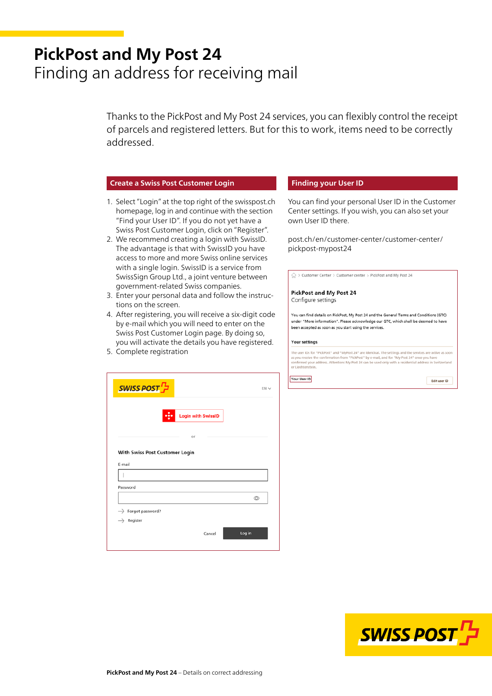# **PickPost and My Post 24** Finding an address for receiving mail

Thanks to the PickPost and My Post 24 services, you can flexibly control the receipt of parcels and registered letters. But for this to work, items need to be correctly addressed.

## **Create a Swiss Post Customer Login**

- 1. Select "Login" at the top right of the swisspost.ch homepage, log in and continue with the section "Find your User ID". If you do not yet have a Swiss Post Customer Login, click on "Register".
- 2. We recommend creating a login with SwissID. The advantage is that with SwissID you have access to more and more Swiss online services with a single login. SwissID is a service from SwissSign Group Ltd., a joint venture between government-related Swiss companies.
- 3. Enter your personal data and follow the instructions on the screen.
- 4. After registering, you will receive a six-digit code by e-mail which you will need to enter on the Swiss Post Customer Login page. By doing so, you will activate the details you have registered.
- 5. Complete registration

| <b>SWISS POST</b>              |                                         | EN V           |
|--------------------------------|-----------------------------------------|----------------|
|                                | $\bf \Phi$<br><b>Login with SwissID</b> |                |
|                                | or                                      |                |
| E-mail                         | With Swiss Post Customer Login          |                |
|                                |                                         |                |
| Password                       |                                         |                |
|                                |                                         | $\circledcirc$ |
| $\rightarrow$ Forgot password? |                                         |                |
| $\rightarrow$ Register         |                                         |                |

### **Finding your User ID**

You can find your personal User ID in the Customer Center settings. If you wish, you can also set your own User ID there.

[post.ch/en/customer-center/customer-center/](https://www.post.ch/en/customer-center/customer-center/pickpost-mypost24) pickpost-mypost24

 $\bigcap_{101}$  > Customer Center > Customer center > PickPost and My Post 24

#### **PickPost and My Post 24** Configure settings

You can find details on PickPost, My Post 24 and the General Terms and Conditions (GTC) under "More information". Please acknowledge our GTC, which shall be deemed to have been accepted as soon as you start using the services.

#### **Your settings**

The user IDs for "PickPost" and "MyPost 24" are identical. The settings and the services are active a<br>as you receive the confirmation from "PickPost" by e-mail, and for "My Post 24" once you have<br>confirmed your address. At

Your User ID



Edit user ID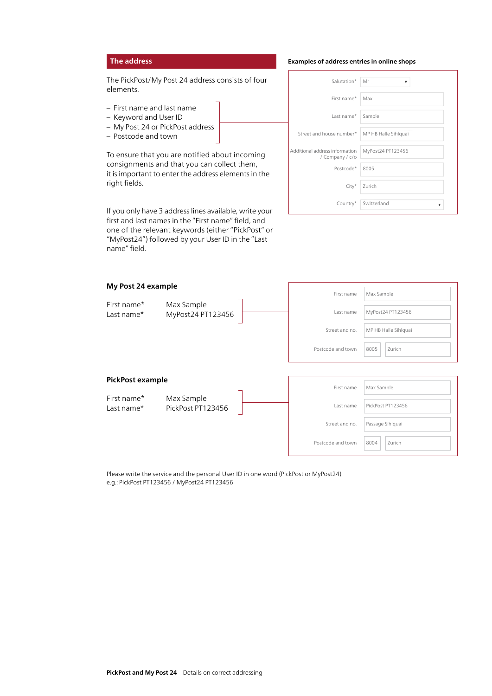# **The address**

The PickPost/My Post 24 address consists of four elements.

- First name and last name
- Keyword and User ID
- My Post 24 or PickPost address
- Postcode and town

To ensure that you are notified about incoming consignments and that you can collect them, it is important to enter the address elements in the right fields.

If you only have 3 address lines available, write your first and last names in the "First name" field, and one of the relevant keywords (either "PickPost" or "MyPost24") followed by your User ID in the "Last name" field.

#### **Examples of address entries in online shops**

| Salutation*                                       | Mr                |
|---------------------------------------------------|-------------------|
| First name*                                       | Max               |
| Last name*                                        | Sample            |
| Street and house number*   MP HB Halle Sihlquai   |                   |
| Additional address information<br>/ Company / c/o | MyPost24 PT123456 |
| Postcode*                                         | 8005              |
| $City*$                                           | Zurich            |
| Country*                                          | Switzerland       |

| My Post 24 example        |                                 | First name        | Max Sample           |
|---------------------------|---------------------------------|-------------------|----------------------|
| First name*<br>Last name* | Max Sample<br>MyPost24 PT123456 | Last name         | MyPost24 PT123456    |
|                           |                                 | Street and no.    | MP HB Halle Sihlquai |
|                           |                                 | Postcode and town | Zurich<br>8005       |
|                           |                                 |                   |                      |
| <b>PickPost example</b>   |                                 | First name        | Max Sample           |
| First name*<br>Last name* | Max Sample<br>PickPost PT123456 | Last name         | PickPost PT123456    |
|                           |                                 | Street and no.    | Passage Sihlquai     |
|                           |                                 | Postcode and town | Zurich<br>8004       |

Please write the service and the personal User ID in one word (PickPost or MyPost24) e.g.: PickPost PT123456 / MyPost24 PT123456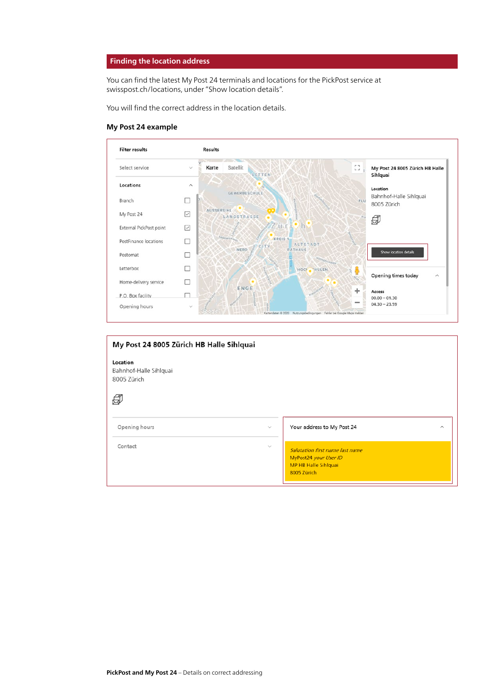## **Finding the location address**

You can find the latest My Post 24 terminals and locations for the PickPost service at [swisspost.ch/locations,](https://www.swisspost.ch/locations) under "Show location details".

You will find the correct address in the location details.

#### **My Post 24 example**



| My Post 24 8005 Zürich HB Halle Sihlquai          |              |                                                                                                        |  |
|---------------------------------------------------|--------------|--------------------------------------------------------------------------------------------------------|--|
| Location<br>Bahnhof-Halle Sihlquai<br>8005 Zürich |              |                                                                                                        |  |
|                                                   |              |                                                                                                        |  |
| Opening hours                                     | $\checkmark$ | Your address to My Post 24<br>$\hat{\phantom{1}}$                                                      |  |
| Contact                                           | $\checkmark$ | Salutation first name last name<br>MyPost24 your User ID<br><b>MP HB Halle Sihlquai</b><br>8005 Zürich |  |